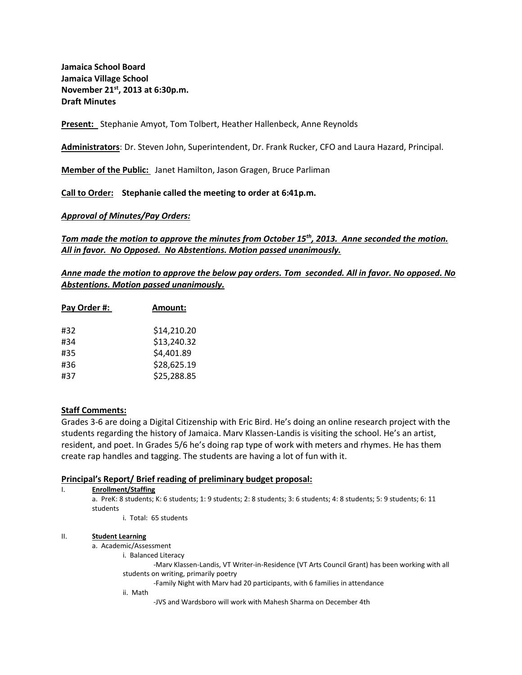**Jamaica School Board Jamaica Village School November 21st, 2013 at 6:30p.m. Draft Minutes** 

**Present:** Stephanie Amyot, Tom Tolbert, Heather Hallenbeck, Anne Reynolds

**Administrators**: Dr. Steven John, Superintendent, Dr. Frank Rucker, CFO and Laura Hazard, Principal.

**Member of the Public:** Janet Hamilton, Jason Gragen, Bruce Parliman

**Call to Order: Stephanie called the meeting to order at 6:41p.m.**

*Approval of Minutes/Pay Orders:*

*Tom made the motion to approve the minutes from October 15th, 2013. Anne seconded the motion. All in favor. No Opposed. No Abstentions. Motion passed unanimously.* 

*Anne made the motion to approve the below pay orders. Tom seconded. All in favor. No opposed. No Abstentions. Motion passed unanimously.* 

| Pay Order #: | <b>Amount:</b> |
|--------------|----------------|
| #32          | \$14,210.20    |
| #34          | \$13,240.32    |
| #35          | \$4,401.89     |
| #36          | \$28,625.19    |
| #37          | \$25,288.85    |

### **Staff Comments:**

Grades 3-6 are doing a Digital Citizenship with Eric Bird. He's doing an online research project with the students regarding the history of Jamaica. Marv Klassen-Landis is visiting the school. He's an artist, resident, and poet. In Grades 5/6 he's doing rap type of work with meters and rhymes. He has them create rap handles and tagging. The students are having a lot of fun with it.

### **Principal's Report/ Brief reading of preliminary budget proposal:**

| <b>Enrollment/Staffing</b>                                                                                                       |  |
|----------------------------------------------------------------------------------------------------------------------------------|--|
| a. PreK: 8 students; K: 6 students; 1: 9 students; 2: 8 students; 3: 6 students; 4: 8 students; 5: 9 students; 6: 11<br>students |  |
| i. Total: 65 students                                                                                                            |  |
| <b>Student Learning</b>                                                                                                          |  |

### a. Academic/Assessment

i. Balanced Literacy

-Marv Klassen-Landis, VT Writer-in-Residence (VT Arts Council Grant) has been working with all students on writing, primarily poetry

-Family Night with Marv had 20 participants, with 6 families in attendance

ii. Math

-JVS and Wardsboro will work with Mahesh Sharma on December 4th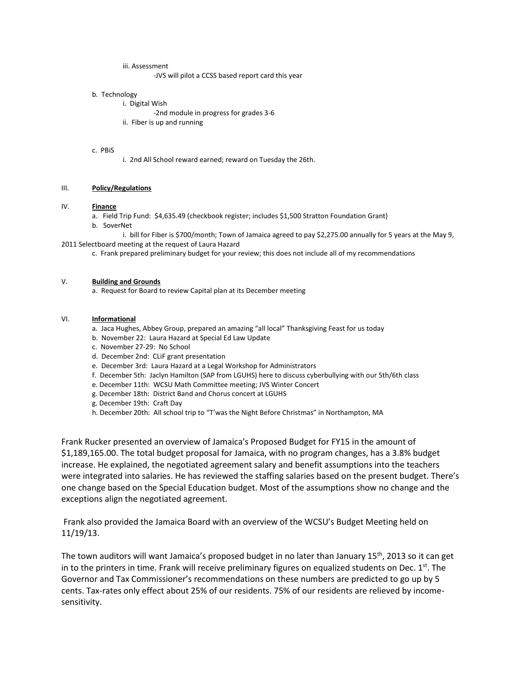iii. Assessment

-JVS will pilot a CCSS based report card this year

#### b. Technology

i. Digital Wish

- -2nd module in progress for grades 3-6
- ii. Fiber is up and running

#### c. PBiS

i. 2nd All School reward earned; reward on Tuesday the 26th.

### III. **Policy/Regulations**

#### IV. **Finance**

a. Field Trip Fund: \$4,635.49 (checkbook register; includes \$1,500 Stratton Foundation Grant)

b. SoverNet

i. bill for Fiber is \$700/month; Town of Jamaica agreed to pay \$2,275.00 annually for 5 years at the May 9, 2011 Selectboard meeting at the request of Laura Hazard

c. Frank prepared preliminary budget for your review; this does not include all of my recommendations

### V. **Building and Grounds**

a. Request for Board to review Capital plan at its December meeting

#### VI. **Informational**

- a. Jaca Hughes, Abbey Group, prepared an amazing "all local" Thanksgiving Feast for us today
- b. November 22: Laura Hazard at Special Ed Law Update
- c. November 27-29: No School
- d. December 2nd: CLiF grant presentation
- e. December 3rd: Laura Hazard at a Legal Workshop for Administrators
- f. December 5th: Jaclyn Hamilton (SAP from LGUHS) here to discuss cyberbullying with our 5th/6th class
- e. December 11th: WCSU Math Committee meeting; JVS Winter Concert
- g. December 18th: District Band and Chorus concert at LGUHS
- g. December 19th: Craft Day
- h. December 20th: All school trip to "T'was the Night Before Christmas" in Northampton, MA

Frank Rucker presented an overview of Jamaica's Proposed Budget for FY15 in the amount of \$1,189,165.00. The total budget proposal for Jamaica, with no program changes, has a 3.8% budget increase. He explained, the negotiated agreement salary and benefit assumptions into the teachers were integrated into salaries. He has reviewed the staffing salaries based on the present budget. There's one change based on the Special Education budget. Most of the assumptions show no change and the exceptions align the negotiated agreement.

Frank also provided the Jamaica Board with an overview of the WCSU's Budget Meeting held on 11/19/13.

The town auditors will want Jamaica's proposed budget in no later than January 15<sup>th</sup>, 2013 so it can get in to the printers in time. Frank will receive preliminary figures on equalized students on Dec.  $1<sup>st</sup>$ . The Governor and Tax Commissioner's recommendations on these numbers are predicted to go up by 5 cents. Tax-rates only effect about 25% of our residents. 75% of our residents are relieved by incomesensitivity.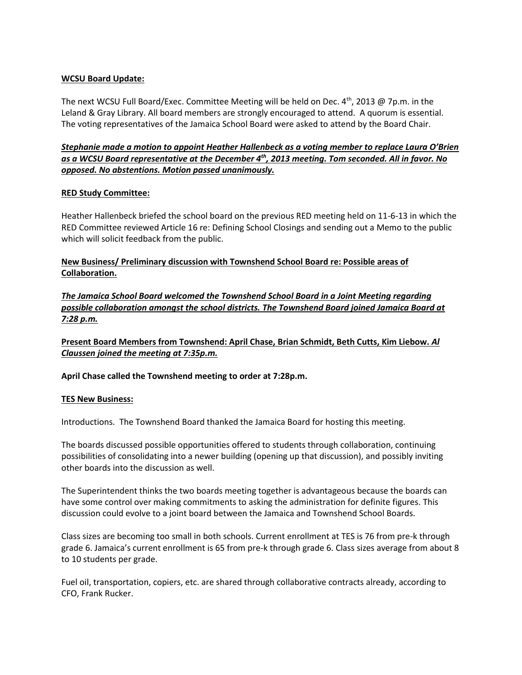## **WCSU Board Update:**

The next WCSU Full Board/Exec. Committee Meeting will be held on Dec. 4<sup>th</sup>, 2013 @ 7p.m. in the Leland & Gray Library. All board members are strongly encouraged to attend. A quorum is essential. The voting representatives of the Jamaica School Board were asked to attend by the Board Chair.

*Stephanie made a motion to appoint Heather Hallenbeck as a voting member to replace Laura O'Brien as a WCSU Board representative at the December 4th, 2013 meeting. Tom seconded. All in favor. No opposed. No abstentions. Motion passed unanimously.* 

### **RED Study Committee:**

Heather Hallenbeck briefed the school board on the previous RED meeting held on 11-6-13 in which the RED Committee reviewed Article 16 re: Defining School Closings and sending out a Memo to the public which will solicit feedback from the public.

## **New Business/ Preliminary discussion with Townshend School Board re: Possible areas of Collaboration.**

*The Jamaica School Board welcomed the Townshend School Board in a Joint Meeting regarding possible collaboration amongst the school districts. The Townshend Board joined Jamaica Board at 7:28 p.m.* 

**Present Board Members from Townshend: April Chase, Brian Schmidt, Beth Cutts, Kim Liebow.** *Al Claussen joined the meeting at 7:35p.m.* 

**April Chase called the Townshend meeting to order at 7:28p.m.** 

## **TES New Business:**

Introductions. The Townshend Board thanked the Jamaica Board for hosting this meeting.

The boards discussed possible opportunities offered to students through collaboration, continuing possibilities of consolidating into a newer building (opening up that discussion), and possibly inviting other boards into the discussion as well.

The Superintendent thinks the two boards meeting together is advantageous because the boards can have some control over making commitments to asking the administration for definite figures. This discussion could evolve to a joint board between the Jamaica and Townshend School Boards.

Class sizes are becoming too small in both schools. Current enrollment at TES is 76 from pre-k through grade 6. Jamaica's current enrollment is 65 from pre-k through grade 6. Class sizes average from about 8 to 10 students per grade.

Fuel oil, transportation, copiers, etc. are shared through collaborative contracts already, according to CFO, Frank Rucker.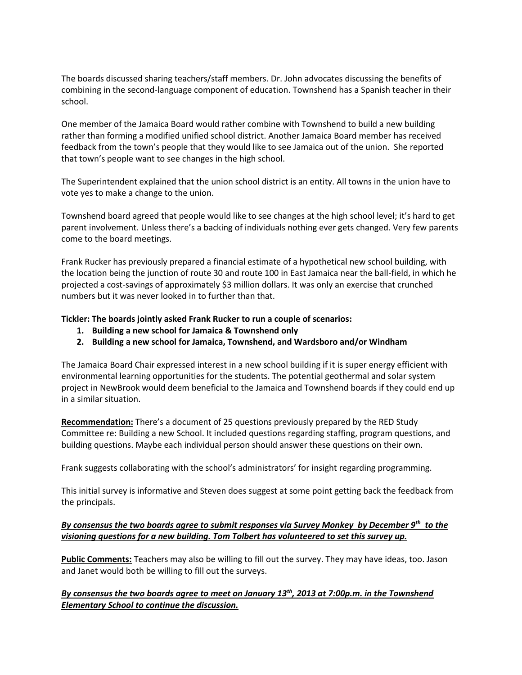The boards discussed sharing teachers/staff members. Dr. John advocates discussing the benefits of combining in the second-language component of education. Townshend has a Spanish teacher in their school.

One member of the Jamaica Board would rather combine with Townshend to build a new building rather than forming a modified unified school district. Another Jamaica Board member has received feedback from the town's people that they would like to see Jamaica out of the union. She reported that town's people want to see changes in the high school.

The Superintendent explained that the union school district is an entity. All towns in the union have to vote yes to make a change to the union.

Townshend board agreed that people would like to see changes at the high school level; it's hard to get parent involvement. Unless there's a backing of individuals nothing ever gets changed. Very few parents come to the board meetings.

Frank Rucker has previously prepared a financial estimate of a hypothetical new school building, with the location being the junction of route 30 and route 100 in East Jamaica near the ball-field, in which he projected a cost-savings of approximately \$3 million dollars. It was only an exercise that crunched numbers but it was never looked in to further than that.

## **Tickler: The boards jointly asked Frank Rucker to run a couple of scenarios:**

- **1. Building a new school for Jamaica & Townshend only**
- **2. Building a new school for Jamaica, Townshend, and Wardsboro and/or Windham**

The Jamaica Board Chair expressed interest in a new school building if it is super energy efficient with environmental learning opportunities for the students. The potential geothermal and solar system project in NewBrook would deem beneficial to the Jamaica and Townshend boards if they could end up in a similar situation.

**Recommendation:** There's a document of 25 questions previously prepared by the RED Study Committee re: Building a new School. It included questions regarding staffing, program questions, and building questions. Maybe each individual person should answer these questions on their own.

Frank suggests collaborating with the school's administrators' for insight regarding programming.

This initial survey is informative and Steven does suggest at some point getting back the feedback from the principals.

## *By consensus the two boards agree to submit responses via Survey Monkey by December 9th to the visioning questions for a new building. Tom Tolbert has volunteered to set this survey up.*

**Public Comments:** Teachers may also be willing to fill out the survey. They may have ideas, too. Jason and Janet would both be willing to fill out the surveys.

# *By consensus the two boards agree to meet on January 13th, 2013 at 7:00p.m. in the Townshend Elementary School to continue the discussion.*